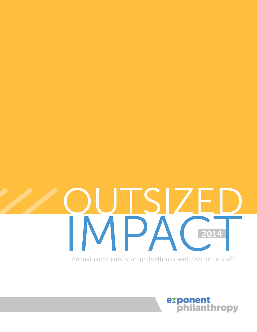

Annual commentary on philanthropy with few or no staff

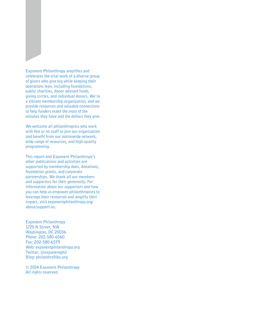**Exponent Philanthropy amplifies and celebrates the vital work of a diverse group of givers who give big while keeping their operations lean, including foundations, public charities, donor advised funds, giving circles, and individual donors. We're a vibrant membership organization, and we provide resources and valuable connections to help funders make the most of the minutes they have and the dollars they give.**

**We welcome all philanthropists who work with few or no staff to join our organization and benefit from our nationwide network, wide range of resources, and high-quality programming.**

**This report and Exponent Philanthropy's other publications and activities are supported by membership dues, donations, foundation grants, and corporate partnerships. We thank all our members and supporters for their generosity. For information about our supporters and how you can help us empower philanthropists to leverage their resources and amplify their impact, visit exponentphilanthropy.org/ about/support-us.**

**Exponent Philanthropy 1720 N Street, NW Washington, DC 20036 Phone: 202-580-6560 Fax: 202-580-6579 Web: exponentphilanthropy.org Twitter: @exponentphil Blog: philanthrofiles.org**

**© 2014 Exponent Philanthropy All rights reserved.**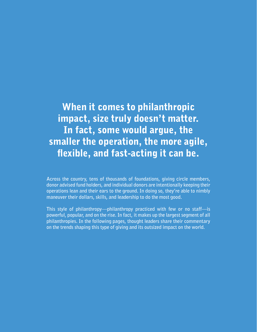### When it comes to philanthropic impact, size truly doesn't matter. In fact, some would argue, the smaller the operation, the more agile, flexible, and fast-acting it can be.

**Across the country, tens of thousands of foundations, giving circle members, donor advised fund holders, and individual donors are intentionally keeping their operations lean and their ears to the ground. In doing so, they're able to nimbly maneuver their dollars, skills, and leadership to do the most good.**

**This style of philanthropy—philanthropy practiced with few or no staff—is powerful, popular, and on the rise. In fact, it makes up the largest segment of all philanthropies. In the following pages, thought leaders share their commentary on the trends shaping this type of giving and its outsized impact on the world.**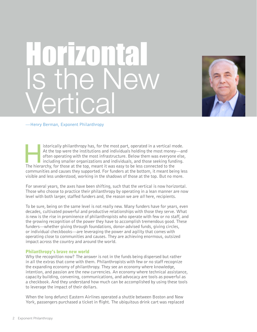## Horizontal Is the New Vertical



### —Henry Berman, Exponent Philanthropy

istorically philanthropy has, for the most part, operated in a vertical mode.<br>At the top were the institutions and individuals holding the most money—ar<br>often operating with the most infrastructure. Below them was everyone At the top were the institutions and individuals holding the most money—and often operating with the most infrastructure. Below them was everyone else, including smaller organizations and individuals, and those seeking funding. The hierarchy, for those at the top, meant it was easy to be less connected to the communities and causes they supported. For funders at the bottom, it meant being less visible and less understood, working in the shadows of those at the top. But no more.

For several years, the axes have been shifting, such that the vertical is now horizontal. Those who choose to practice their philanthropy by operating in a lean manner are now level with both larger, staffed funders and, the reason we are *all* here, recipients.

To be sure, being on the same level is not really new. Many funders have for years, even decades, cultivated powerful and productive relationships with those they serve. What *is* new is the rise in prominence of philanthropists who operate with few or no staff, and the growing recognition of the power they have to accomplish tremendous good. These funders—whether giving through foundations, donor-advised funds, giving circles, or individual checkbooks—are leveraging the power and agility that comes with operating close to communities and causes. They are achieving enormous, outsized impact across the country and around the world.

### Philanthropy's brave new world

Why the recognition now? The answer is not in the funds being dispersed but rather in all the extras that come with them. Philanthropists with few or no staff recognize the expanding economy of philanthropy. They see an economy where knowledge, intention, and passion are the new currencies. An economy where technical assistance, capacity building, convening, communications, and advocacy are tools as powerful as a checkbook. And they understand how much can be accomplished by using these tools to leverage the impact of their dollars.

When the long defunct Eastern Airlines operated a shuttle between Boston and New York, passengers purchased a ticket in flight. The ubiquitous drink cart was replaced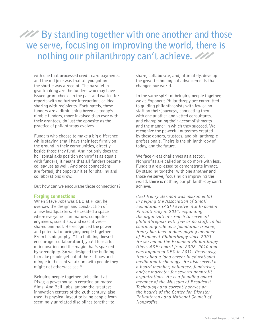### **By standing together with one another and those we serve, focusing on improving the world, there is nothing our philanthropy can't achieve.**

with one that processed credit card payments, and the old joke was that all you got on the shuttle was a receipt. The parallel in grantmaking are the funders who may have issued grant checks in the past and waited for reports with no further interactions or idea sharing with recipients. Fortunately, these funders are a diminishing breed as today's nimble funders, more involved than ever with their grantees, do just the opposite as the practice of philanthropy evolves.

Funders who choose to make a big difference while staying small have their feet firmly on the ground in their communities, directly beside those they fund. And not only does the horizontal axis position nonprofits as equals with funders, it means that all funders become colleagues as well. And once connections are forged, the opportunities for sharing and collaborations grow.

But how can we encourage those connections?

### Forging connections

When Steve Jobs was CEO at Pixar, he oversaw the design and construction of a new headquarters. He created a space where everyone—animators, computer engineers, scientists, and executives shared one roof. He recognized the power and potential of bringing people together. From his biography: "If a building doesn't encourage [collaboration], you'll lose a lot of innovation and the magic that's sparked by serendipity. So we designed the building to make people get out of their offices and mingle in the central atrium with people they might not otherwise see."

Bringing people together. Jobs did it at Pixar, a powerhouse in creating animated films. And Bell Labs, among the greatest innovation centers of the 20th century, also used its physical layout to bring people from seemingly unrelated disciplines together to

share, collaborate, and, ultimately, develop the great technological advancements that changed our world.

In the same spirit of bringing people together, we at Exponent Philanthropy are committed to guiding philanthropists with few or no staff on their journeys, connecting them with one another and vetted consultants, and championing their accomplishments and the manner in which they succeed. We recognize the powerful outcomes created by these donors, trustees, and philanthropic professionals. Theirs is the philanthropy of today, and the future.

We face great challenges as a sector. Nonprofits are called on to do more with less. Funders are pressed to demonstrate impact. By standing together with one another and those we serve, focusing on improving the world, there is nothing our philanthropy can't achieve.

*CEO Henry Berman was instrumental in helping the Association of Small Foundations (ASF) evolve into Exponent Philanthropy in 2014, expanding the organization's reach to serve all philanthropists with few or no staff. In his continuing role as a foundation trustee, Henry has been a dues-paying member of Exponent Philanthropy since 2003. He served on the Exponent Philanthropy (then, ASF) board from 2008–2010 and was appointed CEO in 2011. Previously, Henry had a long career in educational media and technology. He also served as a board member, volunteer, fundraiser, and/or marketer for several nonprofit organizations. He is a founding board member of the Museum of Broadcast Technology and currently serves on the boards of the Center for Disaster Philanthropy and National Council of Nonprofits.*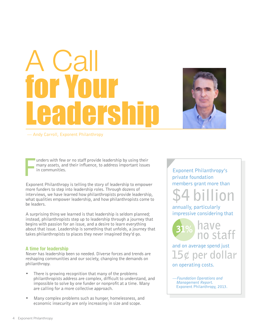## $\overline{a}$ for Your Preh



— Andy Carroll, Exponent Philanthropy

F unders with few or no staff provide leadership by using their many assets, and their influence, to address important issues in communities.

Exponent Philanthropy is telling the story of leadership to empower more funders to step into leadership roles. Through dozens of interviews, we have learned how philanthropists provide leadership, what qualities empower leadership, and how philanthropists come to be leaders.

A surprising thing we learned is that leadership is seldom planned; instead, philanthropists step up to leadership through a journey that begins with passion for an issue, and a desire to learn everything about that issue. Leadership is something that unfolds, a journey that takes philanthropists to places they never imagined they'd go.

### **A time for leadership**

Never has leadership been so needed. Diverse forces and trends are reshaping communities and our society, changing the demands on philanthropy.

- There is growing recognition that many of the problems philanthropists address are complex, difficult to understand, and impossible to solve by one funder or nonprofit at a time. Many are calling for a more collective approach.
- Many complex problems such as hunger, homelessness, and economic insecurity are only increasing in size and scope.

Exponent Philanthropy's private foundation members grant more than



annually, particularly impressive considering that



and on average spend just 15¢ per dollar

on operating costs.

*—Foundation Operations and Management Report.*  Exponent Philanthropy, 2013.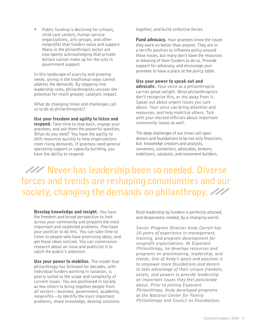• Public funding is declining for schools, child care centers, human service organizations, arts groups, and other nonprofits that funders value and support. Many in the philanthropic sector are now openly acknowledging that private dollars cannot make up for the cuts in government support.

In this landscape of scarcity and growing needs, giving in the traditional ways cannot address the demands. By stepping into leadership roles, philanthropists uncover the potential for much greater, catalytic impact.

What do changing times and challenges call us to do as philanthropists?

Use your freedom and agility to listen and **respond.** Take time to step back, engage your grantees, and ask them the powerful question, What do you need? You have the agility to shift resources quickly to help organizations meet rising demands. If grantees need general operating support or capacity building, you have the ability to respond.

together, and build collective forces.

**Fund advocacy.** Your grantees know the issues they work on better than anyone. They are in a terrific position to influence policy around those issues, but many don't have the resources or blessing of their funders to do so. Provide support for advocacy, and encourage your grantees to have a place at the policy table.

### Use your power to speak out and

advocate. Your voice as a philanthropist carries great weight. Most philanthropists don't recognize this, or shy away from it. Speak out about urgent issues you care about. Your voice can bring attention and resources, and help mobilize others. Talk with your elected officials about important community issues as well.

The deep challenges of our times call upon donors and foundations to be not only financiers, but knowledge creators and analysts, convenors, connectors, advocates, brokers, mobilizers, catalysts, and movement builders.

**Never has leadership been so needed. Diverse forces and trends are reshaping communities and our society, changing the demands on philanthropy.**

**Develop knowledge and insight.** You have the freedom and broad perspective to look across your community and pinpoint the most important and neglected problems. Few have your position to do this. You can take time to listen to people who have promising ideas, and get those ideas noticed. You can commission research about an issue and publicize it to catch the public's attention.

Use your power to mobilize. The model that philanthropy has followed for decades, with individual funders working in isolation, is poorly suited to the scope and complexity of current issues. You are positioned in society as few others to bring together people from all sectors—business, government, academia, nonprofits—to identify the most important problems, share knowledge, develop solutions

Bold leadership by funders is perfectly attuned, and desperately needed, by a changing world.

*Senior Program Director Andy Carroll has 30 years of experience in management, training, and program development for nonprofit organizations. At Exponent Philanthropy, he develops resources and programs on grantmaking, leadership, and trends. One of Andy's goals and passions is to empower more foundations and donors to take advantage of their unique freedom, assets, and powers to provide leadership on important issues they feel passionate about. Prior to joining Exponent Philanthropy, Andy developed programs at the National Center for Family Philanthropy and Council on Foundations.*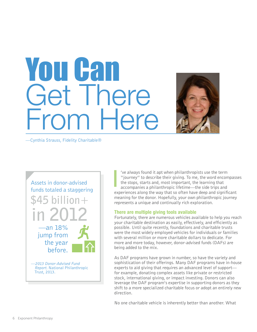## You Can Get There From Here

—Cynthia Strauss, Fidelity Charitable®



I 've always found it apt when philanthropists use the term "journey" to describe their giving. To me, the word encompasses the stops, starts and, most important, the learning that accompanies a philanthropic lifetime—the side trips and experiences along the way that so often have deep and significant meaning for the donor. Hopefully, your own philanthropic journey represents a unique and continually rich exploration.

### **There are multiple giving tools available**

Fortunately, there are numerous vehicles available to help you reach your charitable destination as easily, effectively, and efficiently as possible. Until quite recently, foundations and charitable trusts were the most widely employed vehicles for individuals or families with several million or more charitable dollars to dedicate. For more and more today, however, donor-advised funds (DAFs) are being added to the mix.

As DAF programs have grown in number, so have the variety and sophistication of their offerings. Many DAF programs have in-house experts to aid giving that requires an advanced level of support for example, donating complex assets like private or restricted stock, international giving, or impact investing. Donors can also leverage the DAF program's expertise in supporting donors as they shift to a more specialized charitable focus or adopt an entirely new direction.

No one charitable vehicle is inherently better than another. What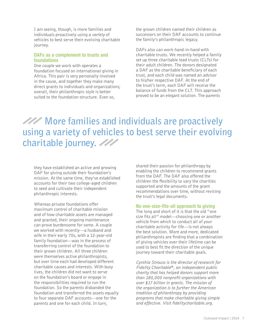I am seeing, though, is more families and individuals proactively using a *variety* of vehicles to best serve their evolving charitable journey.

### **DAFs as a complement to trusts and foundations**

One couple we work with operates a foundation focused on international giving in Africa. This pair is very personally involved in the cause, and together they make many direct grants to individuals and organizations; overall, their philanthropic style is better suited to the foundation structure. Even so,

the grown children named their children as successors on their DAF accounts to continue the family's philanthropic legacy.

DAFs also can work hand-in-hand with charitable trusts. We recently helped a family set up three charitable lead trusts (CLTs) for their adult children. The donors designated a DAF as the charitable beneficiary of each trust, and each child was named an advisor to his/her respective DAF. At the end of the trust's term, each DAF will receive the balance of funds from the CLT. This approach proved to be an elegant solution. The parents

### **More families and individuals are proactively using a variety of vehicles to best serve their evolving charitable journey.**

they have established an active and growing DAF for giving outside their foundation's mission. At the same time, they've established accounts for their two college-aged children to seed and cultivate their independent philanthropic interests.

Whereas private foundations offer maximum control of charitable mission and of how charitable assets are managed and granted, their ongoing maintenance can prove burdensome for some. A couple we worked with recently—a husband and wife in their early 70s, with a 12-year-old family foundation—was in the process of transferring control of the foundation to their grown children. All three children were themselves active philanthropists, but over time each had developed different charitable causes and interests. With busy lives, the children did not want to serve on the foundation's board or engage in the responsibilities required to run the foundation. So the parents disbanded the foundation and transferred the assets equally to four separate DAF accounts—one for the parents and one for each child. In turn,

shared their passion for philanthropy by enabling the children to recommend grants from the DAF. The DAF also offered the children the flexibility to vary the charities supported and the amounts of the grant recommendations over time, without revising the trust's legal documents.

### **No one-size-fits-all approach to giving**

The long and short of it is that the old "one size fits all" model—choosing one or another vehicle from which to conduct all of your charitable activity for life—is not always the best solution. More and more, dedicated philanthropists are finding that a combination of giving vehicles over their lifetime can be used to best fit the direction of the unique journey toward their charitable goals.

*Cynthia Strauss is the director of research for Fidelity Charitable*®*, an independent public charity that has helped donors support more than 180,000 nonprofit organizations with over \$17 billion in grants. The mission of the organization is to further the American tradition of philanthropy by providing programs that make charitable giving simple and effective. Visit fidelitycharitable.org.*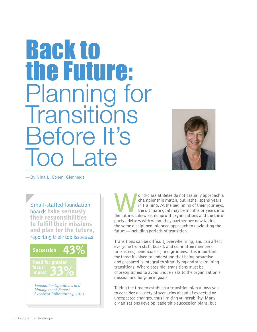## **Back to** the Future: Planning for **Transitions** Before It's Too Late



—By Nina L. Cohen, Glenmede

Small-staffed foundation boards take seriously their responsibilities to fulfill their missions and plan for the future, reporting their top issues as



orld-class athletes do not casually approach a<br>championship match, but rather spend years<br>in training. At the beginning of their journeys,<br>the ultimate goal may be months or years into<br>the future. I ikewise, nonprofit orga championship match, but rather spend years in training. At the beginning of their journeys, the ultimate goal may be months or years into the future. Likewise, nonprofit organizations and the thirdparty advisors with whom they partner are now taking the same disciplined, planned approach to navigating the future—including periods of transition.

Transitions can be difficult, overwhelming, and can affect everyone from staff, board, and committee members to trustees, beneficiaries, and grantees. It is important for those involved to understand that being proactive and prepared is integral to simplifying and streamlining transitions. Where possible, transitions must be choreographed to avoid undue risks to the organization's mission and long-term goals.

Taking the time to establish a transition plan allows you to consider a variety of scenarios ahead of expected or unexpected changes, thus limiting vulnerability. Many organizations develop leadership succession plans, but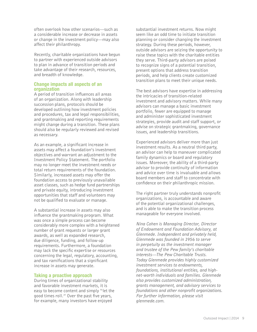often overlook how other scenarios—such as a considerable increase or decrease in assets or change in the investment policy—may also affect their philanthropy.

Recently, charitable organizations have begun to partner with experienced outside advisors to plan in advance of transition periods and take advantage of their research, resources, and breadth of knowledge.

### **Change impacts all aspects of an organization**

A period of transition influences all areas of an organization. Along with leadership succession plans, protocols should be developed outlining how investment policies and procedures, tax and legal responsibilities, and grantmaking and reporting requirements might change during a transition. These plans should also be regularly reviewed and revised as necessary.

As an example, a significant increase in assets may affect a foundation's investment objectives and warrant an adjustment to the Investment Policy Statement. The portfolio may no longer meet the investment needs or total return requirements of the foundation. Similarly, increased assets may offer the foundation access to previously unavailable asset classes, such as hedge fund partnerships and private equity, introducing investment opportunities that staff and volunteers may not be qualified to evaluate or manage.

A substantial increase in assets may also influence the grantmaking program. What was once a simple process can become considerably more complex with a heightened number of grant requests or larger grant awards, as well as expanded research, due diligence, funding, and follow-up requirements. Furthermore, a foundation may lack the specific expertise or resources concerning the legal, regulatory, accounting, and tax ramifications that a significant increase in assets may generate.

### **Taking a proactive approach**

During times of organizational stability and favorable investment markets, it is easy to become content and simply "let the good times roll." Over the past five years, for example, many investors have enjoyed

substantial investment returns. Now might seem like an odd time to initiate transition planning or consider changing the investment strategy. During these periods, however, outside advisors are seizing the opportunity to raise these topics with the charitable entities they serve. Third-party advisors are poised to recognize signs of a potential transition, present options that address transition periods, and help clients create customized transition plans to meet their unique needs.

The best advisors have expertise in addressing the intricacies of transition-related investment and advisory matters. While many advisors can manage a basic investment portfolio, fewer are equipped to manage and administer sophisticated investment strategies, provide audit and staff support, or advise on strategic grantmaking, governance issues, and leadership transitions.

Experienced advisors deliver more than just investment results. As a neutral third party, an advisor can help to maneuver complicated family dynamics or board and regulatory issues. Moreover, the ability of a third-party advisor to provide continuity of information and advice over time is invaluable and allows board members and staff to concentrate with confidence on their philanthropic mission.

The right partner truly understands nonprofit organizations, is accountable and aware of the potential organizational challenges, and is able to make the transition process manageable for everyone involved.

*Nina Cohen is Managing Director, Director of Endowment and Foundation Advisory, at Glenmede. Independent and privately held, Glenmede was founded in 1956 to serve in perpetuity as the investment manager and trustee of the Pew family's charitable interests—The Pew Charitable Trusts. Today Glenmede provides highly customized investment services to endowments, foundations, institutional entities, and highnet-worth individuals and families. Glenmede also provides customized administration, grants management, and advisory services to foundations and other nonprofit organizations. For further information, please visit glenmede.com.*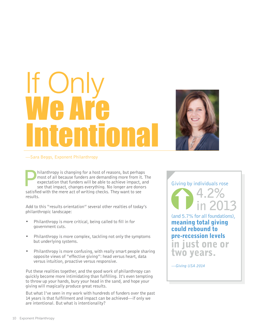# If Only We Are Intentional



### —Sara Beggs, Exponent Philanthropy

hilanthropy is changing for a host of reasons, but perhaps<br>most of all because funders are demanding more from it. T<br>expectation that funders will be able to achieve impact, an<br>see that impact, changes everything. No longe most of all because funders are demanding more from it. The expectation that funders will be able to achieve impact, and see that impact, changes everything. No longer are donors satisfied with the mere act of writing checks. They want to see results.

Add to this "results orientation" several other realties of today's philanthropic landscape:

- Philanthropy is more critical, being called to fill in for government cuts.
- Philanthropy is more complex, tackling not only the symptoms but underlying systems.
- Philanthropy is more confusing, with really smart people sharing opposite views of "effective giving": head versus heart, data versus intuition, proactive versus responsive.

Put these realities together, and the good work of philanthropy can quickly become more intimidating than fulfilling. It's even tempting to throw up your hands, bury your head in the sand, and hope your giving will magically produce great results.

But what I've seen in my work with hundreds of funders over the past 14 years is that fulfillment and impact can be achieved—if only we are intentional. But what is intentionality?

### Giving by individuals rose



(and 5.7% for all foundations), meaning total giving could rebound to pre-recession levels just one or

two years.

*—Giving USA 2014*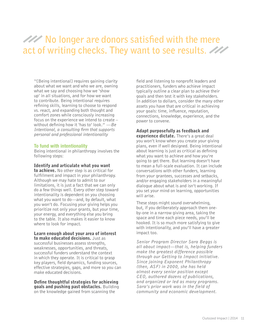### **XXX** No longer are donors satisfied with the mere **act of writing checks. They want to see results**.

"[Being intentional] requires gaining clarity about what we want and who we are, owning what we say and choosing how we 'show up' in all situations, and for how we want to contribute. Being intentional requires refining skills, learning to choose to respond vs. react, and expanding both thought and comfort zones while consciously increasing focus on the experience we intend to create – without defining how it 'has to' look." *—Be Intentional, a consulting firm that supports personal and professional intentionality*

### **To fund with intentionality**

Being intentional in philanthropy involves the following steps:

### Identify and articulate what you want to achieve. No other step is as critical for fulfillment and impact in your philanthropy. Although we may hate to admit to our limitations, it is just a fact that we can only

do a few things well. Every other step toward intentionality is dependent on you choosing what you want to do—and, by default, what you won't do. Focusing your giving helps you prioritize not only your grants, but your time, your energy, and everything else you bring to the table. It also makes it easier to know where to look for impact.

### Learn enough about your area of interest to make educated decisions. Just as

successful businesses assess strengths, weaknesses, opportunities, and threats, successful funders understand the context in which they operate. It is critical to grasp key players, field dynamics, funding sources, effective strategies, gaps, and more so you can make educated decisions.

#### Define thoughtful strategies for achieving goals and pushing past obstacles. Building on the knowledge gained from scanning the

field and listening to nonprofit leaders and practitioners, funders who achieve impact typically outline a clear plan to achieve their goals and then test it with key stakeholders. In addition to dollars, consider the many other assets you have that are critical in achieving your goals: time, influence, reputation, connections, knowledge, experience, and the power to convene.

### Adapt purposefully as feedback and

experience dictate. There's a great deal you won't know when you create your giving plans, even if well designed. Being intentional about learning is just as critical as defining what you want to achieve and how you're going to get there. But learning doesn't have to mean a full-scale evaluation. It can include conversations with other funders, learning from your grantees, successes and setbacks, and/or engaging stakeholders in a meaningful dialogue about what is and isn't working. If you set your mind on learning, opportunities will arise.

These steps might sound overwhelming, but, if you deliberately approach them oneby-one in a narrow giving area, taking the space and time each piece needs, you'll be hooked. It is so much more satisfying to give with intentionality, and you'll have a greater impact too.

*Senior Program Director Sara Beggs is all about impact—that is, helping funders make the greatest difference possible through our Getting to Impact initiative. Since joining Exponent Philanthropy (then, ASF) in 2000, she has held almost every senior position except CEO, authored dozens of publications, and organized or led as many programs. Sara's prior work was in the field of community and economic development.*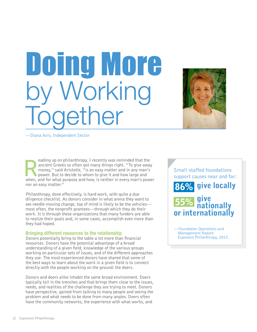Doing More<br>by Working ether



—Diana Aviv, Independent Sector

eading up on philanthropy, I recently was reminded that the ancient Greeks so often got many things right. "To give away money," said Aristotle, "is an easy matter and in any man's power. But to decide to whom to give it a ancient Greeks so often got many things right. "To give away money," said Aristotle, "is an easy matter and in any man's power. But to decide to whom to give it and how large and when, and for what purpose and how, is neither in every man's power nor an easy matter."

Philanthropy, done effectively, is hard work, with quite a due diligence checklist. As donors consider in what arena they want to see needle-moving change, top of mind is likely to be the vehicles most often, the nonprofit grantees—through which they do their work. It is through these organizations that many funders are able to realize their goals and, in some cases, accomplish even more than they had hoped.

### **Bringing different resources to the relationship**

Donors potentially bring to the table a lot more than financial resources. Donors have the potential advantage of a broad understanding of a given field, knowledge of the various groups working on particular sets of issues, and of the different approaches they use. The most experienced donors have shared that some of the best ways to learn about the work in a given field is to connect directly with the people working on the ground: the doers.

Donors and doers alike inhabit the same broad environment. Doers typically toil in the trenches and that brings them close to the issues, needs, and realities of the challenge they are trying to meet. Donors have perspective, gained from talking to many people and seeing the problem and what needs to be done from many angles. Doers often have the community networks, the experience with what works, and

Small-staffed foundations support causes near and far:



*—Foundation Operations and Management Report.*  Exponent Philanthropy, 2013.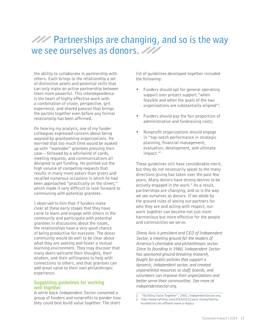### *PAY* Partnerships are changing, and so is the way **we see ourselves as donors.**

the ability to collaborate in partnership with others. Each brings to the relationship a set of distinctive assets and potential skills that can only make an active partnership between them more powerful. This interdependence is the heart of highly effective work with a combination of vision, perspective, grit experience, and shared passion that brings the parties together even before any formal relationship has been affirmed.

On hearing my analysis, one of my funder colleagues expressed concern about being waylaid by grantseeking organizations. He worried that too much time would be soaked up with "wannabe" grantees pressing their case—followed by a whirlwind of cards, meeting requests, and communications all designed to get funding. He pointed out the high volume of competing requests that results in many more askers than givers and recalled numerous occasions in which he had been approached "practically on the street," which made it very difficult to look forward to communing with potential grantees.

I observed to him that if funders make clear at these early stages that they have come to learn and engage with others in the community and participate with potential grantees in discussions about the issues, the relationships have a very good chance of being productive for everyone. The donor community would do well to be clear about what they are seeking and foster a mutual learning environment. They may discover that many doers welcome their thoughts, their wisdom, and their willingness to help with connections to others, and that grantees can add great value to their own philanthropic experience.

### **Suggesting guidelines for working well together**

A while back Independent Sector convened a group of funders and nonprofits to ponder how they could best build value together. The short

list of guidelines developed together included the following:

- Funders should opt for general operating support over project support "when feasible and when the goals of the two organizations are substantially aligned";
- Funders should pay the fair proportion of administrative and fundraising costs;
- Nonprofit organizations should engage in "top-notch performance in strategic planning, financial management, evaluation, development, and ultimate impact."<sup>1</sup>

These guidelines still have considerable merit, but they do not necessarily speak to the many directions giving has taken over the past few years. Many donors have strong desires to be actively engaged in the work.<sup>2</sup> As a result, partnerships are changing, and so is the way we see ourselves as donors. If we abide by the ground rules of seeing our partners for who they are and acting with respect, our work together can become not just more harmonious but more effective for the people and communities we serve.

*Diana Aviv is president and CEO of Independent Sector, a meeting ground for the leaders of America's charitable and philanthropic sector. Since its founding in 1980, Independent Sector has sponsored ground-breaking research, fought for public policies that support a dynamic, independent sector, and created unparalleled resources so staff, boards, and volunteers can improve their organizations and better serve their communities. See more at independentsector.org.*

<sup>1 &</sup>quot;Building Value Together", 2002, IndependentSector.org

<sup>2</sup> http://www.nytimes.com/2014/02/11/your-money/familyfoundations-let-affluent-leave-a-legacy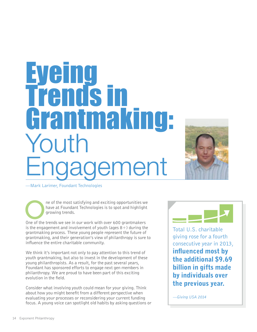## Eyeing Trends in Grantmaking: Youth ngagement



—Mark Larimer, Foundant Technologies

ne of the most satisfying and exciting opportunities we have at Foundant Technologies is to spot and highlight growing trends.

One of the trends we see in our work with over 600 grantmakers is the engagement and involvement of youth (ages  $8+$ ) during the grantmaking process. These young people represent the future of grantmaking, and their generation's view of philanthropy is sure to influence the entire charitable community.

We think it's important not only to pay attention to this trend of youth grantmaking, but also to invest in the development of these young philanthropists. As a result, for the past several years, Foundant has sponsored efforts to engage next gen members in philanthropy. We are proud to have been part of this exciting evolution in the field.

Consider what involving youth could mean for your giving. Think about how you might benefit from a different perspective when evaluating your processes or reconsidering your current funding focus. A young voice can spotlight old habits by asking questions or



Total U.S. charitable giving rose for a fourth consecutive year in 2013, influenced most by the additional \$9.69 billion in gifts made by individuals over the previous year.

*—Giving USA 2014*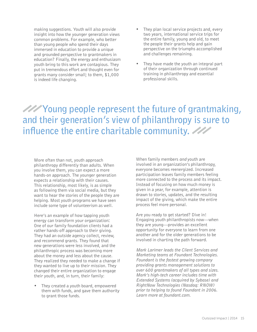making suggestions. Youth will also provide insight into how the younger generation views common problems. For example, who better than young people who spend their days immersed in education to provide a unique and grounded perspective to grantmakers in education? Finally, the energy and enthusiasm youth bring to this work are contagious. They put in tremendous effort and thought even for grants many consider small; to them, \$1,000 is indeed life changing.

- They plan local service projects and, every two years, international service trips for the entire family, young and old, to meet the people their grants help and gain perspective on the triumphs accomplished and challenges remaining.
- They have made the youth an integral part of their organization through continued training in philanthropy and essential professional skills.

*Y***// Young people represent the future of grantmaking, and their generation's view of philanthropy is sure to influence the entire charitable community.** 

More often than not, youth approach philanthropy differently than adults. When you involve them, you can expect a more hands-on approach. The younger generation expects a relationship with their causes. This relationship, most likely, is as simple as following them via social media, but they want to hear the stories of the people they are helping. Most youth programs we have seen include some type of volunteerism as well.

Here's an example of how tapping youth energy can transform your organization**:**  One of our family foundation clients had a rather hands-off approach to their giving. They had an outside agency collect, review, and recommend grants. They found that new generations were less involved, and the philanthropic process was becoming more about the money and less about the cause. They realized they needed to make a change if they wanted to live up to their mission. They changed their entire organization to engage their youth, and, in turn, their family:

• They created a youth board, empowered them with funds, and gave them authority to grant those funds.

When family members *and* youth are involved in an organization's philanthropy, everyone becomes reenergized. Increased participation leaves family members feeling more connected to the process and its impact. Instead of focusing on how much money is given in a year, for example, attention is drawn to stories, updates, and the resulting impact of the giving, which make the entire process feel more personal.

Are you ready to get started? Dive in! Engaging youth philanthropists now—when they are young—provides an excellent opportunity for everyone to learn from one another and for the older generations to be involved in charting the path forward.

*Mark Larimer leads the Client Services and Marketing teams at Foundant Technologies. Foundant is the fastest growing company providing grants management solutions to over 600 grantmakers of all types and sizes. Mark's high-tech career includes time with Extended Systems (acquired by Sybase) and RightNow Technologies (Nasdaq: RNOW) prior to helping to found Foundant in 2006. Learn more at foundant.com.*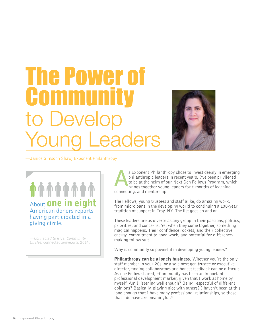## **The Power of Community** to Develop Young Leaders



—Janice Simsohn Shaw, Exponent Philanthropy

About **one in eight** American donors reports having participated in a giving circle.

*—Connected to Give: Community Circles.* connectedtogive.org, 2014.

s Exponent Philanthropy chose to invest deeply in emerging<br>philanthropic leaders in recent years, I've been privileged<br>to be at the helm of our Next Gen Fellows Program, which<br>brings together young leaders for 6 months of philanthropic leaders in recent years, I've been privileged to be at the helm of our Next Gen Fellows Program, which brings together young leaders for 6 months of learning, connecting, and mentorship.

The Fellows, young trustees and staff alike, do amazing work, from microloans in the developing world to continuing a 100-year tradition of support in Troy, NY. The list goes on and on.

These leaders are as diverse as any group in their passions, politics, priorities, and concerns. Yet when they come together, something magical happens. Their confidence rockets, and their collective energy, commitment to good work, and potential for differencemaking follow suit.

Why is community so powerful in developing young leaders?

Philanthropy can be a lonely business. Whether you're the only staff member in your 20s, or a sole next gen trustee or executive director, finding collaborators and honest feedback can be difficult. As one Fellow shared, "Community has been an important professional development marker, given that I work at home by myself. Am I listening well enough? Being respectful of different opinions? Basically, playing nice with others? I haven't been at this long enough that I have many professional relationships, so those that I do have are meaningful."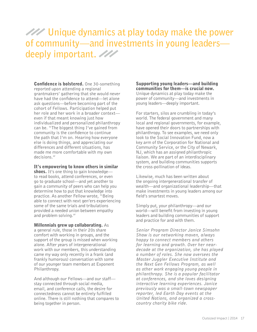### **Unique dynamics at play today make the power of community—and investments in young leaders deeply important.**

Confidence is bolstered. One 30-something reported upon attending a regional grantmakers' gathering that she would never have had the confidence to attend—let alone ask questions—before becoming part of the cohort of Fellows. Participation helped put her role and her work in a broader context even if that meant knowing just how individualized and personalized philanthropy can be. "The biggest thing I've gained from community is the confidence to continue the path that I'm on. Hearing how everyone else is doing things, and appreciating our differences and different situations, has made me more comfortable with my own decisions."

### It's empowering to know others in similar

shoes. It's one thing to gain knowledge to read books, attend conferences, or even go to graduate school—and yet another to gain a community of peers who can help you determine how to put that knowledge into practice. As another Fellow wrote, "Being able to connect with next gen'ers experiencing some of the same trials and tribulations provided a needed union between empathy and problem solving."

#### Millennials grew up collaborating. As a general rule, those in their 20s share

comfort with working in groups, and the support of the group is missed when working alone. After years of intergenerational work with our members, this understanding came my way only recently in a frank (and frankly humorous) conversation with some of our younger team members at Exponent Philanthropy.

And although our Fellows—and our staff stay connected through social media, email, and conference calls, the desire for connectedness cannot be entirely fulfilled online. There is still nothing that compares to being together in person.

Supporting young leaders—and building communities for them—is crucial now. Unique dynamics at play today make the power of community—and investments in young leaders—deeply important.

For starters, silos are crumbling in today's world. The federal government and many local and regional governments, for example, have opened their doors to partnerships with philanthropy. To see examples, we need only look to the Social Innovation Fund, now a key arm of the Corporation for National and Community Service, or the City of Newark, NJ, which has an assigned philanthropic liaison. We are part of an interdisciplinary system, and building communities supports the cross-pollination of ideas.

Likewise, much has been written about the ongoing intergenerational transfer of wealth—and organizational leadership—that make investments in young leaders among our field's smartest moves.

Simply put, your philanthropy—and our world—will benefit from investing in young leaders and building communities of support and practice for and with them.

*Senior Program Director Janice Simsohn Shaw is our networking maven, always happy to connect members and others for learning and growth. Over her neardecade at the organization, she has played a number of roles. She now oversees the Master Juggler Executive Institute and the Next Gen Fellows Program, as well as other work engaging young people in philanthropy. She is a popular facilitator at conferences, and she loves designing interactive learning experiences. Janice previously was a small-town newspaper reporter, led Earth Day events at the United Nations, and organized a crosscountry charity bike ride.*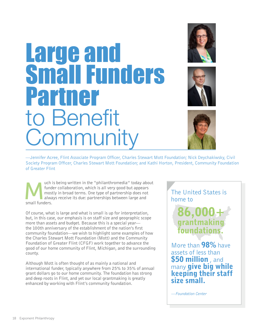## Large and mall Funders Partner to Benefit **Community**







—Jennifer Acree, Flint Associate Program Officer, Charles Stewart Mott Foundation; Nick Deychakiwsky, Civil Society Program Officer, Charles Stewart Mott Foundation; and Kathi Horton, President, Community Foundation of Greater Flint

uch is being written in the "philanthromedia" today about<br>funder collaboration, which is all very good but appears<br>mostly in broad terms. One type of partnership does not<br>always receive its due: partnerships between large funder collaboration, which is all very good but appears mostly in broad terms. One type of partnership does not always receive its due: partnerships between large and small funders.

Of course, what is large and what is small is up for interpretation, but, in this case, our emphasis is on staff size and geographic scope more than assets and budget. Because this is a special year the 100th anniversary of the establishment of the nation's first community foundation—we wish to highlight some examples of how the Charles Stewart Mott Foundation (Mott) and the Community Foundation of Greater Flint (CFGF) work together to advance the good of our home community of Flint, Michigan, and the surrounding county.

Although Mott is often thought of as mainly a national and international funder, typically anywhere from 25% to 35% of annual grant dollars go to our home community. The foundation has strong and deep roots in Flint, and yet our local grantmaking is greatly enhanced by working with Flint's community foundation.

The United States is home to

> 86,00 grantma foundations.

More than 98% have assets of less than **\$50 million**, and many give big while keeping their staff size small.

*—Foundation Center*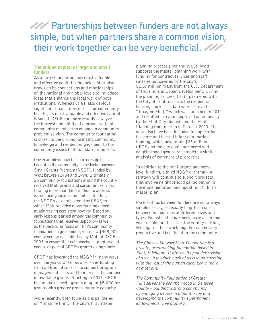### *PAP* Partnerships between funders are not always **simple, but when partners share a common vision, their work together can be very beneficial.**

### **The unique capital of large and small funders**

As a large foundation, our most valuable and effective capital is financial. Mott also draws on its connections and relationships on the national and global levels to introduce ideas that enhance the local work of both institutions. Whereas CFGF also deploys significant financial resources for community benefit, its most valuable and effective capital is social. CFGF can more readily catalyze the interest and ability of a broad swath of community members to engage in community problem solving. The community foundation is closer to the ground, bringing community knowledge and resident engagement to the community issues both foundations address.

One example of how this partnership has benefited the community is the Neighborhoods Small Grants Program (NSGP), funded by Mott between 1984 and 1994. Ultimately, 25 community foundations around the country received Mott grants and consultant services totaling more than \$6.4 million to address issues facing local communities. In Flint, the NSGP was administered by CFGF, to which Mott provided direct funding aimed at addressing persistent poverty. Based on early lessons learned among the community foundations that received support—as well as the particular focus of Flint's community foundation on grassroots groups—a \$408,000 endowment was established by Mott at CFGF in 1993 to ensure that neighborhood grants would endure as part of CFGF's grantmaking fabric.

CFGF has leveraged the NSGP in many ways over the years. CFGF now receives funding from additional sources to support program management costs and to increase the number of available grants. Starting in 2013, CFGF began "next-level" grants of up to \$5,000 for groups with greater programmatic capacity.

More recently, both foundations partnered on "Imagine Flint," the city's first master

planning process since the 1960s. Mott supports the master planning work with funding for contract services and staff salaries not covered by the city's \$1.57 million grant from the U.S. Department of Housing and Urban Development. During the planning process, CFGF partnered with the City of Flint to assess the residential housing stock. The data were critical to "Imagine Flint," which was launched in 2012 and resulted in a plan approved unanimously by the Flint City Council and the Flint Planning Commission in October 2013. The data also have been included in applications for state and federal blight elimination funding, which now totals \$23 million. CFGF and the city again partnered with neighborhood groups to complete a similar analysis of commercial properties.

In addition to the mini-grants and nextlevel funding, a third NSGP grantmaking strategy will continue to support projects that involve neighborhood participation in the implementation and updating of Flint's master plan.

Partnerships between funders are not always simple or easy, especially long-term ones between foundations of different sizes and types. But when the partners share a common vision—like, in this case, the vitality of Flint, Michigan—their work together can be very productive and beneficial to the community.

*The Charles Stewart Mott Foundation is a private, grantmaking foundation based in Flint, Michigan. It affirms its founder's vision of a world in which each of us is in partnership with the rest of the human race. Learn more at mott.org.*

*The Community Foundation of Greater Flint serves the common good in Genesee County – building a strong community by engaging people in philanthropy and developing the community's permanent endowments. See cfgf.org.*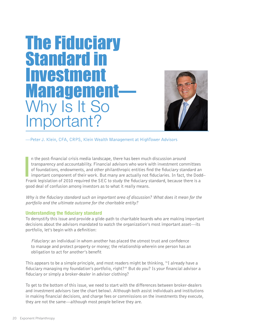## The Fiduciary Standard in Investment **Management**-Why Is It So  $intant?$



—Peter J. Klein, CFA, CRPS, Klein Wealth Management at HighTower Advisors

**I**<br>I<br>Fra n the post-financial crisis media landscape, there has been much discussion around transparency and accountability. Financial advisors who work with investment committees of foundations, endowments, and other philanthropic entities find the fiduciary standard an important component of their work. But many are actually not fiduciaries. In fact, the Dodd– Frank legislation of 2010 required the SEC to study the fiduciary standard, because there is a good deal of confusion among investors as to what it really means.

*Why is the fiduciary standard such an important area of discussion? What does it mean for the portfolio and the ultimate outcome for the charitable entity?* 

### **Understanding the fiduciary standard**

To demystify this issue and provide a glide-path to charitable boards who are making important decisions about the advisors mandated to watch the organization's most important asset—its portfolio, let's begin with a definition:

*Fiduciary:* an individual in whom another has placed the utmost trust and confidence to manage and protect property or money; the relationship wherein one person has an obligation to act for another's benefit

This appears to be a simple principle, and most readers might be thinking, "I already have a fiduciary managing my foundation's portfolio, right?" But do you? Is your financial advisor a fiduciary or simply a broker-dealer in advisor clothing?

To get to the bottom of this issue, we need to start with the differences between broker-dealers and investment advisors (see the chart below). Although both assist individuals and institutions in making financial decisions, and charge fees or commissions on the investments they execute, they are not the same—although most people believe they are.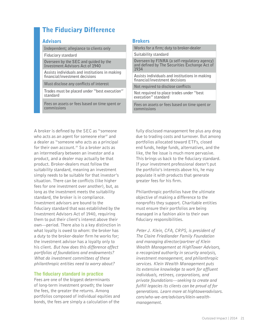### The Fiduciary Difference

### Advisors

**Independent; allegiance to clients only**

**Fiduciary standard**

**Overseen by the SEC and guided by the Investment Advisors Act of 1940**

**Assists individuals and institutions in making financial/investment decisions**

**Must disclose any conflicts of interest**

**Trades must be placed under "best execution" standard**

**Fees on assets or fees based on time spent or commissions**

### Brokers

**commissions**

| Works for a firm; duty to broker-dealer                                                               |
|-------------------------------------------------------------------------------------------------------|
| Suitability standard                                                                                  |
| Overseen by FINRA (a self-regulatory agency)<br>and defined by The Securities Exchange Act of<br>1934 |
| Assists individuals and institutions in making<br>financial/investment decisions                      |
| Not required to disclose conflicts                                                                    |
| Not required to place trades under "best"<br>execution" standard                                      |
| Fees on assets or fees based on time spent or                                                         |

A broker is defined by the SEC as "someone who acts as an agent for someone else" and a dealer as "someone who acts as a principal for their own account." So a broker acts as an intermediary between an investor and a product, and a dealer may actually be that product. Broker-dealers must follow the suitability standard, meaning an investment simply needs to be suitable for that investor's situation. There can be conflicts (like higher fees for one investment over another), but, as long as the investment meets the suitability standard, the broker is in compliance. Investment advisors are bound to the fiduciary standard that was established by the Investment Advisors Act of 1940, requiring them to put their client's interest above their own—period. There also is a key distinction in what loyalty is owed to whom: the broker has a duty to the broker-dealer firm he works for; the investment advisor has a loyalty only to his client. *But how does this difference affect portfolios of foundations and endowments? What do investment committees of these philanthropic entities need to worry about?* 

### **The fiduciary standard in practice**

Fees are one of the biggest determinants of long-term investment growth; the lower the fees, the greater the returns. Among portfolios composed of individual equities and bonds, the fees are simply a calculation of the

fully disclosed management fee plus any drag due to trading costs and turnover. But among portfolios allocated toward ETFs, closed end funds, hedge funds, alternatives, and the like, the fee issue is much more pervasive. This brings us back to the fiduciary standard. If your investment professional doesn't put the portfolio's interests above his, he may populate it with products that generate greater fees for his firm.

Philanthropic portfolios have the ultimate objective of making a difference to the nonprofits they support. Charitable entities must ensure their portfolios are being managed in a fashion akin to their own fiduciary responsibilities.

*Peter J. Klein, CFA, CRPS, is president of The Claire Friedlander Family Foundation and managing director/partner of Klein Wealth Management at HighTower Advisors, a recognized authority in security analysis, investment management, and philanthropic services. Klein Wealth Management puts its extensive knowledge to work for affluent individuals, retirees, corporations, and private foundations—seeking to create and fulfill legacies its clients can be proud of for generations. Learn more at hightoweradvisors. com/who-we-are/advisors/klein-wealthmanagement.*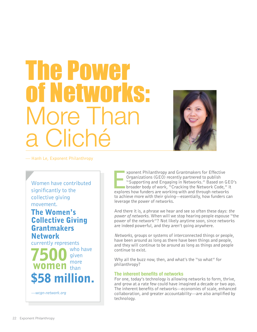## The Power of Networks: re Th Cliché



— Hanh Le, Exponent Philanthropy

Women have contributed significantly to the collective giving movement.

### **The Women's Collective Giving Grantmakers Network**

currently represents

who have given more than 58 million.

*—wcgn-network.org*

xponent Philanthropy and Grantmakers for Effective<br>Organizations (GEO) recently partnered to publish<br>"Supporting and Engaging in Networks." Based on GE<br>broader body of work, "Cracking the Network Code," if<br>explores how fun xponent Philanthropy and Grantmakers for Effective Organizations (GEO) recently partnered to publish "Supporting and Engaging in Networks." Based on GEO's broader body of work, "Cracking the Network Code," it to achieve more with their giving—essentially, how funders can leverage the power of networks.

And there it is, a phrase we hear and see so often these days: *the power of networks.* When will we stop hearing people espouse "the power of the network"? Not likely anytime soon, since networks are indeed powerful, and they aren't going anywhere.

*Networks,* groups or systems of interconnected things or people, have been around as long as there have been things and people, and they will continue to be around as long as things and people continue to exist.

Why all the buzz now, then, and what's the "so what" for philanthropy?

### **The inherent benefits of networks**

For one, today's technology is allowing networks to form, thrive, and grow at a rate few could have imagined a decade or two ago. The inherent benefits of networks—economies of scale, enhanced collaboration, and greater accountability—are also amplified by technology.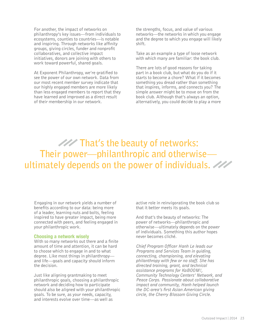For another, the impact of networks on philanthropy's key issues—from individuals to ecosystems, counties to countries—is notable and inspiring. Through networks like affinity groups, giving circles, funder and nonprofit collaboratives, and collective impact initiatives, donors are joining with others to work toward powerful, shared goals.

At Exponent Philanthropy, we're gratified to see the power of our own network. Data from our most recent member survey indicate that our highly engaged members are more likely than less engaged members to report that they have learned and improved as a direct result of their membership in our network.

the strengths, focus, and value of various networks—the networks in which you engage and the degree to which you engage will likely shift.

Take as an example a type of loose network with which many are familiar: the book club.

There are lots of good reasons for taking part in a book club, but what do you do if it starts to become a chore? What if it becomes something you dread rather than something that inspires, informs, and connects you? The simple answer might be to move on from the book club. Although that's always an option, alternatively, you could decide to play a more

### *THE* That's the beauty of networks: **Their power—philanthropic and otherwise ultimately depends on the power of individuals.**

Engaging in our network yields a number of benefits according to our data: being more of a leader, learning nuts and bolts, feeling inspired to have greater impact, being more connected with peers, and feeling engaged in your philanthropic work.

#### **Choosing a network wisely**

With so many networks out there and a finite amount of time and attention, it can be hard to choose which to engage in and to what degree. Like most things in philanthropy and life—goals and capacity should inform the decision.

Just like aligning grantmaking to meet philanthropic goals, choosing a philanthropic network and deciding how to participate should also be aligned with your philanthropic goals. To be sure, as your needs, capacity, and interests evolve over time—as well as

active role in reinvigorating the book club so that it better meets its goals.

And that's the beauty of networks: The power of networks—philanthropic and otherwise—ultimately depends on the power of individuals. Something this author hopes never becomes cliché.

*Chief Program Officer Hanh Le leads our Programs and Services Team in guiding, connecting, championing, and elevating philanthropy with few or no staff. She has directed training, grant, and technical assistance programs for KaBOOM!, Community Technology Centers' Network, and Peace Corps. Passionate about collaborative impact and community, Hanh helped launch the DC-area's first Asian American giving circle, the Cherry Blossom Giving Circle.*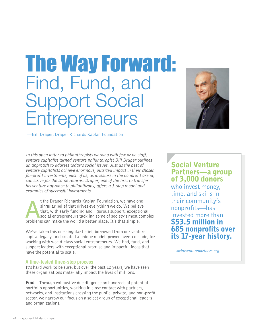## The Way Forward: Find, Fund, and Support Social **Entrepreneurs**



—Bill Draper, Draper Richards Kaplan Foundation

*In this open letter to philanthropists working with few or no staff, venture capitalist turned venture philanthropist Bill Draper outlines an approach to address today's social issues. Just as the best of venture capitalists achieve enormous, outsized impact in their chosen for-profit investments, each of us, as investors in the nonprofit arena, can strive for the same returns. Draper, one of the first to transfer his venture approach to philanthropy, offers a 3-step model and examples of successful investments.* 

t the Draper Richards Kaplan Foundation, we have or<br>singular belief that drives everything we do. We belie<br>that, with early funding and rigorous support, excepti<br>social entrepreneurs tackling some of society's most c<br>probl t the Draper Richards Kaplan Foundation, we have one singular belief that drives everything we do. We believe that, with early funding and rigorous support, exceptional social entrepreneurs tackling some of society's most complex

We've taken this one singular belief, borrowed from our venture capital legacy, and created a unique model, proven over a decade, for working with world-class social entrepreneurs. We find, fund, and support leaders with exceptional promise and impactful ideas that have the potential to scale.

### **A time-tested three-step process**

It's hard work to be sure, but over the past 12 years, we have seen these organizations materially impact the lives of millions.

**Find**—Through exhaustive due diligence on hundreds of potential portfolio opportunities, working in close contact with partners, networks, and institutions crossing the public, private, and non-profit sector, we narrow our focus on a select group of exceptional leaders and organizations.

### Social Venture Partners—a group of 3,000 donors

who invest money, time, and skills in their community's nonprofits—has invested more than \$53.5 million in 685 nonprofits over its 17-year history.

*—socialventurepartners.org*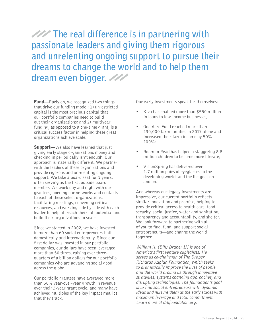**The real difference is in partnering with passionate leaders and giving them rigorous and unrelenting ongoing support to pursue their dreams to change the world and to help them dream even bigger.**

**Fund**—Early on, we recognized two things that drive our funding model: 1) unrestricted capital is the most precious capital that our portfolio companies need to build out their organizations; and 2) multiyear funding, as opposed to a one-time grant, is a critical success factor in helping these great organizations achieve scale.

**Support**—We also have learned that just giving early stage organizations money and checking in periodically isn't enough. Our approach is materially different. We partner with the leaders of these organizations and provide rigorous and unrelenting ongoing support. We take a board seat for 3 years, often serving as the first outside board member. We work day and night with our grantees, opening our networks and contacts to each of these select organizations, facilitating meetings, convening critical resources, and working side by side with each leader to help all reach their full potential and build their organizations to scale.

Since we started in 2002, we have invested in more than 60 social entrepreneurs both domestically and internationally. Since our first dollar was invested in our portfolio companies, our dollars have been leveraged more than 50 times, raising over threequarters of a billion dollars for our portfolio companies who are advancing social good across the globe.

Our portfolio grantees have averaged more than 50% year-over-year growth in revenue over their 3-year grant cycle, and many have achieved multiples of the key impact metrics that they track.

Our early investments speak for themselves:

- Kiva has enabled more than \$550 million in loans to low-income businesses;
- One Acre Fund reached more than 130,000 farm families in 2013 alone and increased their farm income by 50%– 100%;
- Room to Read has helped a staggering 8.8 million children to become more literate;
- VisionSpring has delivered over 1.7 million pairs of eyeglasses to the developing world; and the list goes on and on.

And whereas our legacy investments are impressive, our current portfolio reflects similar innovation and promise, helping to provide critical access to health care, food security, social justice, water and sanitation, transparency and accountability, and shelter. We look forward to partnering with all of you to find, fund, and support social entrepreneurs—and change the world together.

*William H. (Bill) Draper III is one of America's first venture capitalists. He serves as co-chairman of The Draper Richards Kaplan Foundation, which seeks to dramatically improve the lives of people and the world around us through innovative strategies, systems changing approaches, and disrupting technologies. The foundation's goal is to find social entrepreneurs with dynamic ideas and nurture them at the early stages with maximum leverage and total commitment. Learn more at drkfoundation.org.*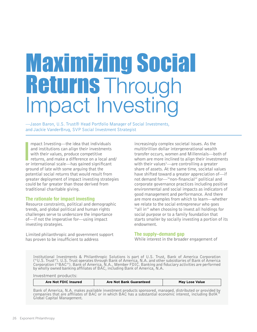# Maximizing Social **Returns Through<br>Impact Investing**

—Jason Baron, U.S. Trust® Head Portfolio Manager of Social Investments, and Jackie VanderBrug, SVP Social Investment Strategist

mpact Investing—the idea that individuals<br>and institutions can align their investments<br>with their values, produce competitive<br>returns, and make a difference on a local an<br>or international scale—has gained significant mpact Investing—the idea that individuals and institutions can align their investments with their values, produce competitive returns, and make a difference on a local and/ ground of late with some arguing that the potential social returns that would result from greater deployment of impact investing strategies could be far greater than those derived from traditional charitable giving.

### **The rationale for impact investing**

Resource constraints, political and demographic trends, and global political and human rights challenges serve to underscore the importance of—if not the imperative for—using impact investing strategies.

Limited philanthropic and government support has proven to be insufficient to address

increasingly complex societal issues. As the multitrillion dollar intergenerational wealth transfer occurs, women and Millennials—both of whom are more inclined to align their investments with their values<sup>1</sup>—are controlling a greater share of assets. At the same time, societal values have shifted toward a greater appreciation of—if not demand for—"non-financial" political and corporate governance practices including positive environmental and social impacts as indicators of good management and performance. And there are more examples from which to learn—whether we relate to the social entrepreneur who goes "all in" when choosing to invest all holdings for social purpose or to a family foundation that starts smaller by socially investing a portion of its endowment.

### **The supply–demand gap**

While interest in the broader engagement of

Institutional Investments & Philanthropic Solutions is part of U.S. Trust, Bank of America Corporation ("U.S. Trust"). U.S. Trust operates through Bank of America, N.A. and other subsidiaries of Bank of America Corporation ("BAC"). Bank of America, N.A., Member FDIC. Banking and fiduciary activities are performed by wholly owned banking affiliates of BAC, including Bank of America, N.A.

Investment products:

| Are Not FDIC Insured | Are Not Bank Guaranteed | <b>May Lose Value</b> |
|----------------------|-------------------------|-----------------------|
|                      |                         |                       |

Bank of America, N.A. makes available investment products sponsored, managed, distributed or provided by companies that are affiliates of BAC or in which BAC has a substantial economic interest, including BofA Global Capital Management.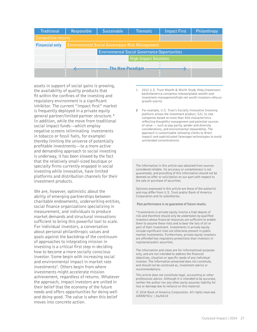| <b>Traditional</b>                                                       | Responsible                                          | <b>Sustainable</b>      | <b>Thematic</b>              | <b>Impact First</b> | Philanthropy |  |  |
|--------------------------------------------------------------------------|------------------------------------------------------|-------------------------|------------------------------|---------------------|--------------|--|--|
| Competitive returns                                                      |                                                      |                         |                              |                     |              |  |  |
| <b>Financial only</b><br>Environmental Social Governance Risk Management |                                                      |                         |                              |                     |              |  |  |
|                                                                          | <b>Environmental Social Governance Opportunities</b> |                         |                              |                     |              |  |  |
|                                                                          |                                                      |                         | <b>High Impact Solutions</b> |                     |              |  |  |
|                                                                          |                                                      | <b>The New Paradigm</b> |                              |                     |              |  |  |
|                                                                          |                                                      |                         |                              |                     |              |  |  |

assets in support of social gains is growing, the availability of quality products that fit within the confines of the investing and regulatory environment is a significant inhibitor. The current "impact first" market is frequently deployed in a private equity general partner/limited partner structure.\* In addition, while the move from traditional social impact funds—which employ negative screens (eliminating investments in tobacco or fossil fuels, for example) thereby limiting the universe of potentially profitable investments—to a more active and demanding approach to social investing is underway, it has been slowed by the fact that the relatively small-sized boutique or specialty firms currently engaged in social investing while innovative, have limited platforms and distribution channels for their investment products.

We are, however, optimistic about the ability of emerging partnerships between charitable endowments, underwriting entities, social finance organizations specializing in measurement, and individuals to produce market demands and structural innovations sufficient to bring this powerful tool to scale. For individual investors, a conversation about personal philanthropic values and goals against the backdrop of the continuum of approaches to integrating mission in investing is a critical first step in deciding how to become a more socially conscious investor. Some begin with increasing social and environmental impact in market rate investments<sup>2</sup>. Others begin from where investments might accelerate mission achievement, regardless of returns. Whatever the approach, impact investors are united in their belief that the economy of the future needs and offers opportunities for doing well and doing good. The value is when this belief moves into concrete action.

- 1 2013 U.S. Trust Wealth & Worth Study (http://newsroom. bankofamerica.com/press-release/global-wealth-andinvestment-management/high-net-worth-investors-refocusgrowth-overlo)
- 2 For example, U.S. Trust's Socially Innovative Investing platform allows the investment product, S2I, to rate companies based on more than 400 characteristics reflecting thoughtful management and potential sources of value — such as pay parity, gender and diversity considerations, and environmental stewardship. The approach is customizable (allowing clients to direct impact) and sophisticated (leverages technologies to avoid unintended concentrations).

The information in this article was obtained from sources considered reliable. Its accuracy or completeness is not guaranteed, and providing of this information should not be deemed an offer or solicitation on our part with respect to the sale or purchase of securities.

Opinions expressed in this article are those of the author(s) and may differ from U.S. Trust and/or Bank of America Corporation and its subsidiaries.

#### **Past performance is no guarantee of future results.**

\*Investments in private equity involve a high degree of risk and therefore should only be undertaken by qualified investors whose financial resources are sufficient to enable them to assume these risks and to bear the loss of all or part of their investment. Investments in private equity include significant risks not otherwise present in public market investments. Furthermore, private equity investors are afforded less regulatory protections than investors in registered public securities.

The information and views are for informational purposes only, and are not intended to address the financial objectives, situation or specific needs of any individual investor. The information presented does not constitute, and should not be construed as, investment advice or recommendations.

This article does not constitute legal, accounting or other professional advice. Although it is intended to be accurate, neither the author nor any other party assumes liability for loss or damage due to reliance on this material.

© 2014 Bank of America Corporation. All rights reserved. ARBNF83J | 06/04/14